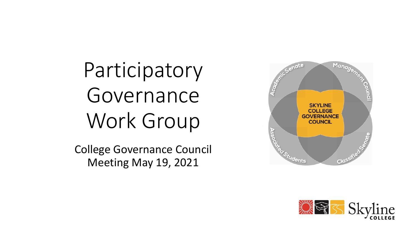Participatory Governance Work Group

College Governance Council Meeting May 19, 2021



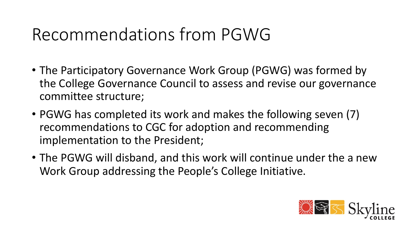- The Participatory Governance Work Group (PGWG) was formed by the College Governance Council to assess and revise our governance committee structure;
- PGWG has completed its work and makes the following seven (7) recommendations to CGC for adoption and recommending implementation to the President;
- The PGWG will disband, and this work will continue under the a new Work Group addressing the People's College Initiative.

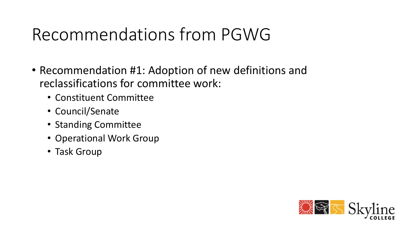- Recommendation #1: Adoption of new definitions and reclassifications for committee work:
	- Constituent Committee
	- Council/Senate
	- Standing Committee
	- Operational Work Group
	- Task Group

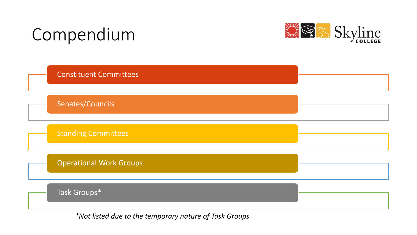## Compendium





*\*Not listed due to the temporary nature of Task Groups*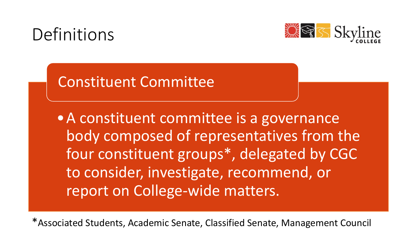### Definitions



### Constituent Committee

•A constituent committee is a governance body composed of representatives from the four constituent groups\*, delegated by CGC to consider, investigate, recommend, or report on College-wide matters.

\*Associated Students, Academic Senate, Classified Senate, Management Council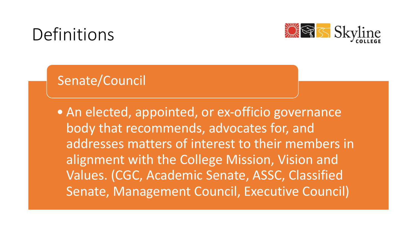### Definitions



### Senate/Council

• An elected, appointed, or ex-officio governance body that recommends, advocates for, and addresses matters of interest to their members in alignment with the College Mission, Vision and Values. (CGC, Academic Senate, ASSC, Classified Senate, Management Council, Executive Council)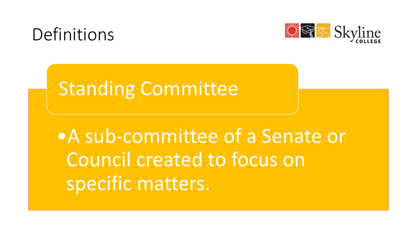



## Standing Committee

# •A sub-committee of a Senate or Council created to focus on specific matters.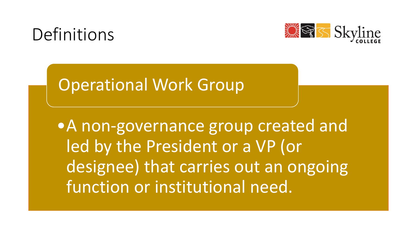



### Operational Work Group

•A non-governance group created and led by the President or a VP (or designee) that carries out an ongoing function or institutional need.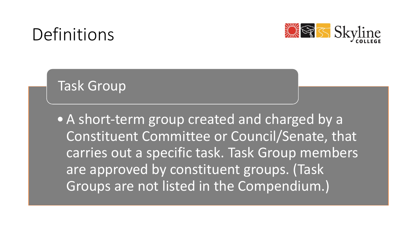### Definitions



### Task Group

• A short-term group created and charged by a Constituent Committee or Council/Senate, that carries out a specific task. Task Group members are approved by constituent groups. (Task Groups are not listed in the Compendium.)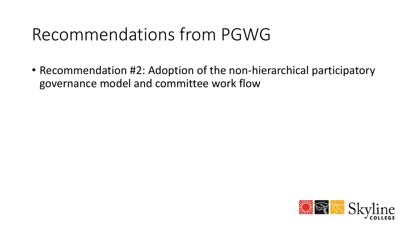• Recommendation #2: Adoption of the non-hierarchical participatory governance model and committee work flow

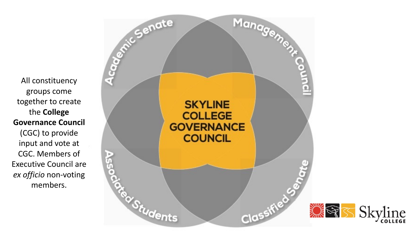All constituency groups come together to create the **College Governance Council**  (CGC) to provide input and vote at CGC. Members of *ex officio* non-voting members.

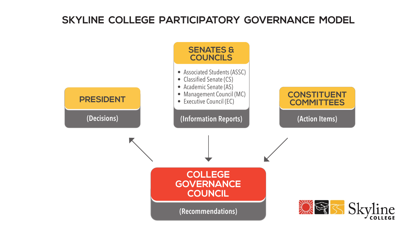#### **SKYLINE COLLEGE PARTICIPATORY GOVERNANCE MODEL**

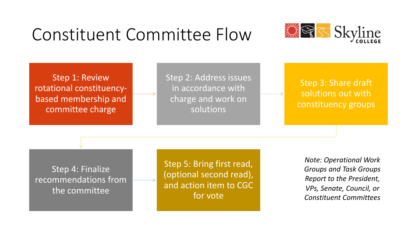

#### Step 4: Finalize recommendations from the committee

Step 5: Bring first read, (optional second read), and action item to CGC for vote

*Note: Operational Work Groups and Task Groups Report to the President, VPs, Senate, Council, or Constituent Committees*

### Constituent Committee Flow

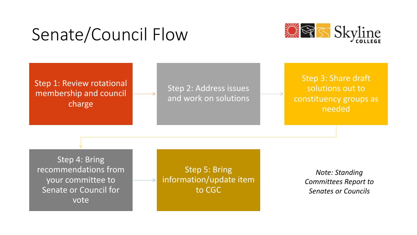### Senate/Council Flow



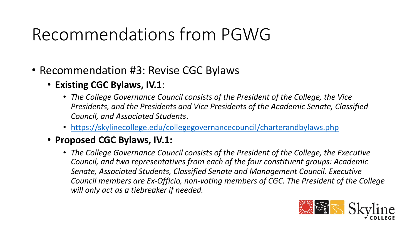#### • Recommendation #3: Revise CGC Bylaws

#### • **Existing CGC Bylaws, IV.1**:

- The College Governance Council consists of the President *Presidents, and the Presidents and Vice Presidents of the Council, and Associated Students*.
- https://skylinecollege.edu/collegegovernancecouncil/ch
- **Proposed CGC Bylaws, IV.1:**
	- *The College Governance Council consists of the President Council, and two representatives from each of the four down to constituent and two representatives Senate, Associated Students, Classified Senate and Man Council members are Ex-Officio, non-voting members of will only act as a tiebreaker if needed.*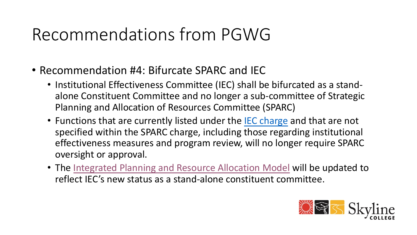#### • Recommendation #4: Bifurcate SPARC and IEC

- Institutional Effectiveness Committee (IEC) shall be alone Constituent Committee and no longer a sub Planning and Allocation of Resources Committee (
- Functions that are currently listed under the IEC cl specified within the SPARC charge, including those effectiveness measures and program review, will r oversight or approval.
- The Integrated Planning and Resource Allocation M reflect IEC's new status as a stand-alone constitue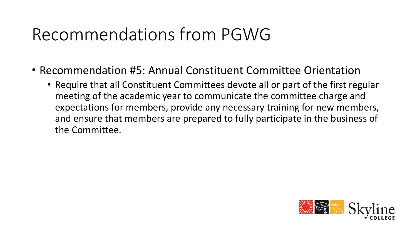- Recommendation #5: Annual Constituent Committee Orientation
	- Require that all Constituent Committees devote all or part of the first regular meeting of the academic year to communicate the committee charge and expectations for members, provide any necessary training for new members, and ensure that members are prepared to fully participate in the business of the Committee.

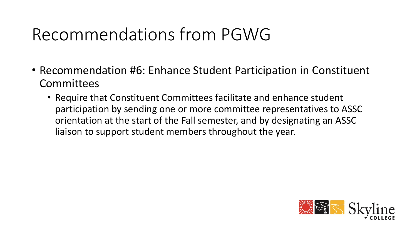- Recommendation #6: Enhance Student Participation in Constituent Committees
	- Require that Constituent Committees facilitate and enhance student participation by sending one or more committee representatives to ASSC orientation at the start of the Fall semester, and by designating an ASSC liaison to support student members throughout the year.